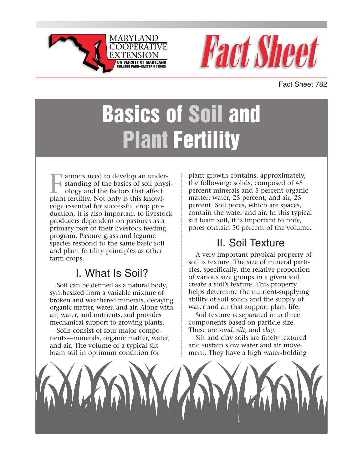



Fact Sheet 782

# **Basics of Soil and Plant Fertility**

Farmers need to develop an under-<br>standing of the basics of soil physology and the factors that affect<br>plant fertility. Not only is this knowlstanding of the basics of soil physiology and the factors that affect plant fertility. Not only is this knowledge essential for successful crop production, it is also important to livestock producers dependent on pastures as a primary part of their livestock feeding program. Pasture grass and legume species respond to the same basic soil and plant fertility principles as other farm crops.

# I. What Is Soil?

Soil can be defined as a natural body, synthesized from a variable mixture of broken and weathered minerals, decaying organic matter, water, and air. Along with air, water, and nutrients, soil provides mechanical support to growing plants.

Soils consist of four major components—minerals, organic matter, water, and air. The volume of a typical silt loam soil in optimum condition for

plant growth contains, approximately, the following: solids, composed of 45 percent minerals and 5 percent organic matter; water, 25 percent; and air, 25 percent. Soil pores, which are spaces, contain the water and air. In this typical silt loam soil, it is important to note, pores contain 50 percent of the volume.

# II. Soil Texture

A very important physical property of soil is texture. The size of mineral particles, specifically, the relative proportion of various size groups in a given soil, create a soil's texture. This property helps determine the nutrient-supplying ability of soil solids and the supply of water and air that support plant life.

Soil texture is separated into three components based on particle size. These are *sand, silt,* and *clay.* 

Silt and clay soils are finely textured and sustain slow water and air movement. They have a high water-holding

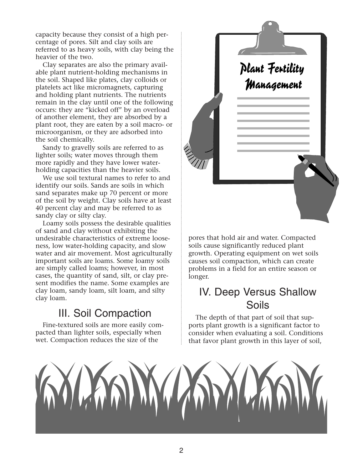capacity because they consist of a high percentage of pores. Silt and clay soils are referred to as heavy soils, with clay being the heavier of the two.

Clay separates are also the primary available plant nutrient-holding mechanisms in the soil. Shaped like plates, clay colloids or platelets act like micromagnets, capturing and holding plant nutrients. The nutrients remain in the clay until one of the following occurs: they are "kicked off" by an overload of another element, they are absorbed by a plant root, they are eaten by a soil macro- or microorganism, or they are adsorbed into the soil chemically.

Sandy to gravelly soils are referred to as lighter soils; water moves through them more rapidly and they have lower waterholding capacities than the heavier soils.

We use soil textural names to refer to and identify our soils. Sands are soils in which sand separates make up 70 percent or more of the soil by weight. Clay soils have at least 40 percent clay and may be referred to as sandy clay or silty clay.

Loamy soils possess the desirable qualities of sand and clay without exhibiting the undesirable characteristics of extreme looseness, low water-holding capacity, and slow water and air movement. Most agriculturally important soils are loams. Some loamy soils are simply called loams; however, in most cases, the quantity of sand, silt, or clay present modifies the name. Some examples are clay loam, sandy loam, silt loam, and silty clay loam.

## III. Soil Compaction

Fine-textured soils are more easily compacted than lighter soils, especially when wet. Compaction reduces the size of the



pores that hold air and water. Compacted soils cause significantly reduced plant growth. Operating equipment on wet soils causes soil compaction, which can create problems in a field for an entire season or longer.

## IV. Deep Versus Shallow Soils

The depth of that part of soil that supports plant growth is a significant factor to consider when evaluating a soil. Conditions that favor plant growth in this layer of soil,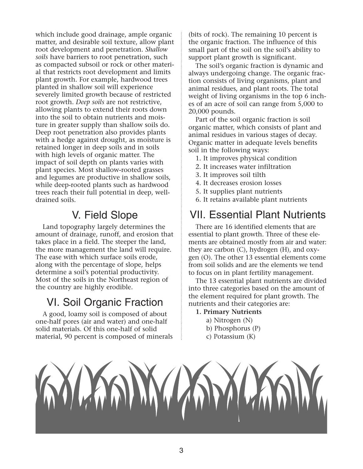which include good drainage, ample organic matter, and desirable soil texture, allow plant root development and penetration. *Shallow soils* have barriers to root penetration, such as compacted subsoil or rock or other material that restricts root development and limits plant growth. For example, hardwood trees planted in shallow soil will experience severely limited growth because of restricted root growth. *Deep soils* are not restrictive, allowing plants to extend their roots down into the soil to obtain nutrients and moisture in greater supply than shallow soils do. Deep root penetration also provides plants with a hedge against drought, as moisture is retained longer in deep soils and in soils with high levels of organic matter. The impact of soil depth on plants varies with plant species. Most shallow-rooted grasses and legumes are productive in shallow soils, while deep-rooted plants such as hardwood trees reach their full potential in deep, welldrained soils.

## V. Field Slope

Land topography largely determines the amount of drainage, runoff, and erosion that takes place in a field. The steeper the land, the more management the land will require. The ease with which surface soils erode, along with the percentage of slope, helps determine a soil's potential productivity. Most of the soils in the Northeast region of the country are highly erodible.

## VI. Soil Organic Fraction

A good, loamy soil is composed of about one-half pores (air and water) and one-half solid materials. Of this one-half of solid material, 90 percent is composed of minerals

(bits of rock). The remaining 10 percent is the organic fraction. The influence of this small part of the soil on the soil's ability to support plant growth is significant.

The soil's organic fraction is dynamic and always undergoing change. The organic fraction consists of living organisms, plant and animal residues, and plant roots. The total weight of living organisms in the top 6 inches of an acre of soil can range from 5,000 to 20,000 pounds.

Part of the soil organic fraction is soil organic matter, which consists of plant and animal residues in various stages of decay. Organic matter in adequate levels benefits soil in the following ways:

- 1. It improves physical condition
- 2. It increases water infiltration
- 3. It improves soil tilth
- 4. It decreases erosion losses
- 5. It supplies plant nutrients
- 6. It retains available plant nutrients

## VII. Essential Plant Nutrients

There are 16 identified elements that are essential to plant growth. Three of these elements are obtained mostly from air and water: they are carbon (C), hydrogen (H), and oxygen (O). The other 13 essential elements come from soil solids and are the elements we tend to focus on in plant fertility management.

The 13 essential plant nutrients are divided into three categories based on the amount of the element required for plant growth. The nutrients and their categories are:

- **1. Primary Nutrients**
	- a) Nitrogen (N) b) Phosphorus (P)
	- c) Potassium (K)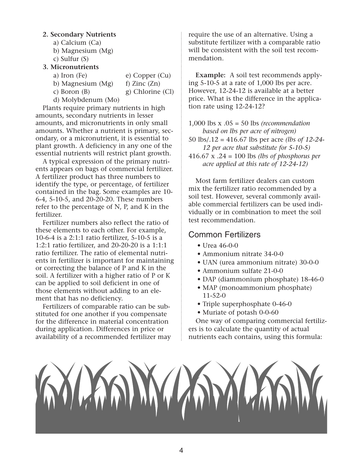#### **2. Secondary Nutrients**

- a) Calcium (Ca)
- b) Magnesium (Mg)
- c) Sulfur (S)

#### **3. Micronutrients**

- a) Iron (Fe) e) Copper (Cu)
	-
- b) Magnesium  $(Mg)$  f) Zinc  $(Zn)$
- c) Boron  $(B)$  g) Chlorine  $(Cl)$
- d) Molybdenum (Mo)

Plants require primary nutrients in high amounts, secondary nutrients in lesser amounts, and micronutrients in only small amounts. Whether a nutrient is primary, secondary, or a micronutrient, it is essential to plant growth. A deficiency in any one of the essential nutrients will restrict plant growth.

A typical expression of the primary nutrients appears on bags of commercial fertilizer. A fertilizer product has three numbers to identify the type, or percentage, of fertilizer contained in the bag. Some examples are 10- 6-4, 5-10-5, and 20-20-20. These numbers refer to the percentage of N, P, and K in the fertilizer.

Fertilizer numbers also reflect the ratio of these elements to each other. For example, 10-6-4 is a 2:1:1 ratio fertilizer, 5-10-5 is a 1:2:1 ratio fertilizer, and 20-20-20 is a 1:1:1 ratio fertilizer. The ratio of elemental nutrients in fertilizer is important for maintaining or correcting the balance of P and K in the soil. A fertilizer with a higher ratio of P or K can be applied to soil deficient in one of those elements without adding to an element that has no deficiency.

Fertilizers of comparable ratio can be substituted for one another if you compensate for the difference in material concentration during application. Differences in price or availability of a recommended fertilizer may require the use of an alternative. Using a substitute fertilizer with a comparable ratio will be consistent with the soil test recommendation.

**Example:** A soil test recommends applying 5-10-5 at a rate of 1,000 lbs per acre. However, 12-24-12 is available at a better price. What is the difference in the application rate using 12-24-12?

1,000 lbs x .05 = 50 lbs *(recommendation based on lbs per acre of nitrogen)*

50 lbs/.12 = 416.67 lbs per acre *(lbs of 12-24- 12 per acre that substitute for 5-10-5)*

416.67 x .24 = 100 lbs *(lbs of phosphorus per acre applied at this rate of 12-24-12)*

Most farm fertilizer dealers can custom mix the fertilizer ratio recommended by a soil test. However, several commonly available commercial fertilizers can be used individually or in combination to meet the soil test recommendation.

#### Common Fertilizers

- Urea 46-0-0
- Ammonium nitrate 34-0-0
- UAN (urea ammonium nitrate) 30-0-0
- Ammonium sulfate 21-0-0
- DAP (diammonium phosphate) 18-46-0
- MAP (monoammonium phosphate) 11-52-0
- Triple superphosphate 0-46-0
- Muriate of potash 0-0-60

One way of comparing commercial fertilizers is to calculate the quantity of actual nutrients each contains, using this formula: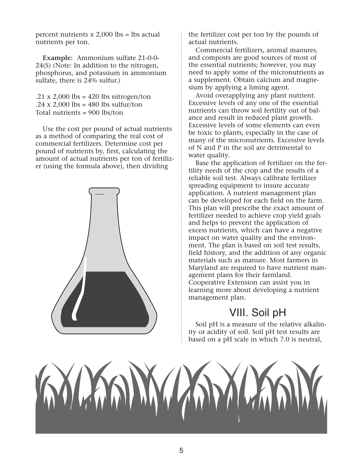percent nutrients  $x$  2,000 lbs = lbs actual nutrients per ton.

**Example:** Ammonium sulfate 21-0-0- 24(S) (Note: In addition to the nitrogen, phosphorus, and potassium in ammonium sulfate, there is 24% sulfur.)

.21 x 2,000 lbs = 420 lbs nitrogen/ton .24 x 2,000 lbs = 480 lbs sulfur/ton Total nutrients = 900 lbs/ton

Use the cost per pound of actual nutrients as a method of comparing the real cost of commercial fertilizers. Determine cost per pound of nutrients by, first, calculating the amount of actual nutrients per ton of fertilizer (using the formula above), then dividing



the fertilizer cost per ton by the pounds of actual nutrients.

Commercial fertilizers, animal manures, and composts are good sources of most of the essential nutrients; however, you may need to apply some of the micronutrients as a supplement. Obtain calcium and magnesium by applying a liming agent.

Avoid overapplying any plant nutrient. Excessive levels of any one of the essential nutrients can throw soil fertility out of balance and result in reduced plant growth. Excessive levels of some elements can even be toxic to plants, especially in the case of many of the micronutrients. Excessive levels of N and P in the soil are detrimental to water quality.

Base the application of fertilizer on the fertility needs of the crop and the results of a reliable soil test. Always calibrate fertilizer spreading equipment to insure accurate application. A nutrient management plan can be developed for each field on the farm. This plan will prescribe the exact amount of fertilizer needed to achieve crop yield goals and helps to prevent the application of excess nutrients, which can have a negative impact on water quality and the environment. The plan is based on soil test results, field history, and the addition of any organic materials such as manure. Most farmers in Maryland are required to have nutrient management plans for their farmland. Cooperative Extension can assist you in learning more about developing a nutrient management plan.

## VIII. Soil pH

Soil pH is a measure of the relative alkalinity or acidity of soil. Soil pH test results are based on a pH scale in which 7.0 is neutral,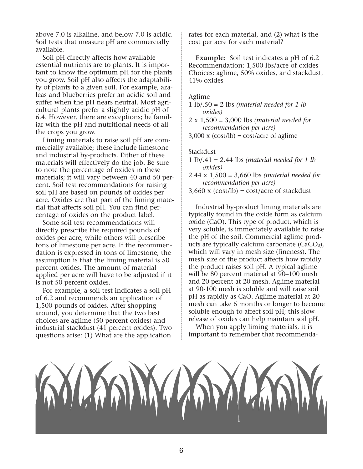above 7.0 is alkaline, and below 7.0 is acidic. Soil tests that measure pH are commercially available.

Soil pH directly affects how available essential nutrients are to plants. It is important to know the optimum pH for the plants you grow. Soil pH also affects the adaptability of plants to a given soil. For example, azaleas and blueberries prefer an acidic soil and suffer when the pH nears neutral. Most agricultural plants prefer a slightly acidic pH of 6.4. However, there are exceptions; be familiar with the pH and nutritional needs of all the crops you grow.

Liming materials to raise soil pH are commercially available; these include limestone and industrial by-products. Either of these materials will effectively do the job. Be sure to note the percentage of oxides in these materials; it will vary between 40 and 50 percent. Soil test recommendations for raising soil pH are based on pounds of oxides per acre. Oxides are that part of the liming material that affects soil pH. You can find percentage of oxides on the product label.

Some soil test recommendations will directly prescribe the required pounds of oxides per acre, while others will prescribe tons of limestone per acre. If the recommendation is expressed in tons of limestone, the assumption is that the liming material is 50 percent oxides. The amount of material applied per acre will have to be adjusted if it is not 50 percent oxides.

For example, a soil test indicates a soil pH of 6.2 and recommends an application of 1,500 pounds of oxides. After shopping around, you determine that the two best choices are aglime (50 percent oxides) and industrial stackdust (41 percent oxides). Two questions arise: (1) What are the application

rates for each material, and (2) what is the cost per acre for each material?

**Example:** Soil test indicates a pH of 6.2 Recommendation: 1,500 lbs/acre of oxides Choices: aglime, 50% oxides, and stackdust, 41% oxides

#### Aglime

- 1 lb/.50 = 2 lbs *(material needed for 1 lb oxides)*
- 2 x 1,500 = 3,000 lbs *(material needed for recommendation per acre)*
- $3,000 \times (cost/lb) = cost/acre$  of aglime

#### Stackdust

- 1 lb/.41 = 2.44 lbs *(material needed for 1 lb oxides)*
- 2.44 x 1,500 = 3,660 lbs *(material needed for recommendation per acre)*
- $3,660$  x (cost/lb) = cost/acre of stackdust

Industrial by-product liming materials are typically found in the oxide form as calcium oxide (CaO). This type of product, which is very soluble, is immediately available to raise the pH of the soil. Commercial aglime products are typically calcium carbonate (CaCO3), which will vary in mesh size (fineness). The mesh size of the product affects how rapidly the product raises soil pH. A typical aglime will be 80 percent material at 90–100 mesh and 20 percent at 20 mesh. Aglime material at 90-100 mesh is soluble and will raise soil pH as rapidly as CaO. Aglime material at 20 mesh can take 6 months or longer to become soluble enough to affect soil pH; this slowrelease of oxides can help maintain soil pH.

When you apply liming materials, it is important to remember that recommenda-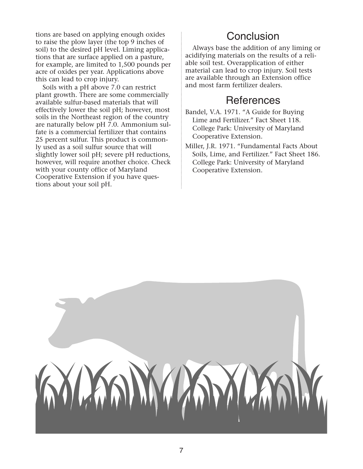tions are based on applying enough oxides to raise the plow layer (the top 9 inches of soil) to the desired pH level. Liming applications that are surface applied on a pasture, for example, are limited to 1,500 pounds per acre of oxides per year. Applications above this can lead to crop injury.

Soils with a pH above 7.0 can restrict plant growth. There are some commercially available sulfur-based materials that will effectively lower the soil pH; however, most soils in the Northeast region of the country are naturally below pH 7.0. Ammonium sulfate is a commercial fertilizer that contains 25 percent sulfur. This product is commonly used as a soil sulfur source that will slightly lower soil pH; severe pH reductions, however, will require another choice. Check with your county office of Maryland Cooperative Extension if you have questions about your soil pH.

## Conclusion

Always base the addition of any liming or acidifying materials on the results of a reliable soil test. Overapplication of either material can lead to crop injury. Soil tests are available through an Extension office and most farm fertilizer dealers.

### References

- Bandel, V.A. 1971. "A Guide for Buying Lime and Fertilizer." Fact Sheet 118. College Park: University of Maryland Cooperative Extension.
- Miller, J.R. 1971. "Fundamental Facts About Soils, Lime, and Fertilizer." Fact Sheet 186. College Park: University of Maryland Cooperative Extension.